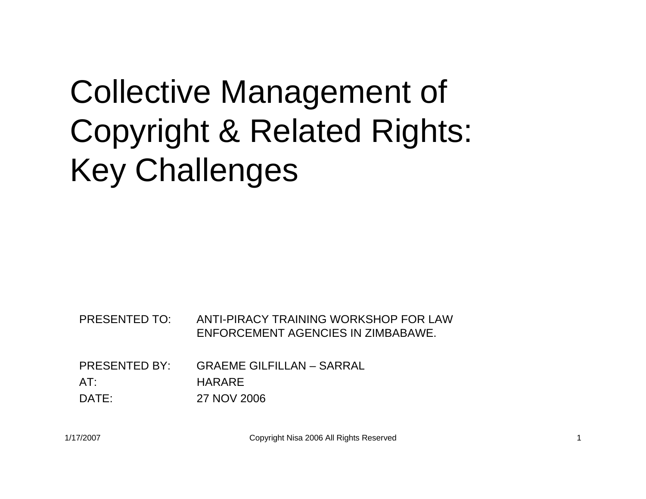#### Collective Management of Copyright & Related Rights: Key Challenges

PRESENTED TO: ANTI-PIRACY TRAINING WORKSHOP FOR LAW ENFORCEMENT AGENCIES IN ZIMBABAWE.

PRESENTED BY: GRAEME GILFILLAN – SARRALAT:HARARE

DATE:27 NOV 2006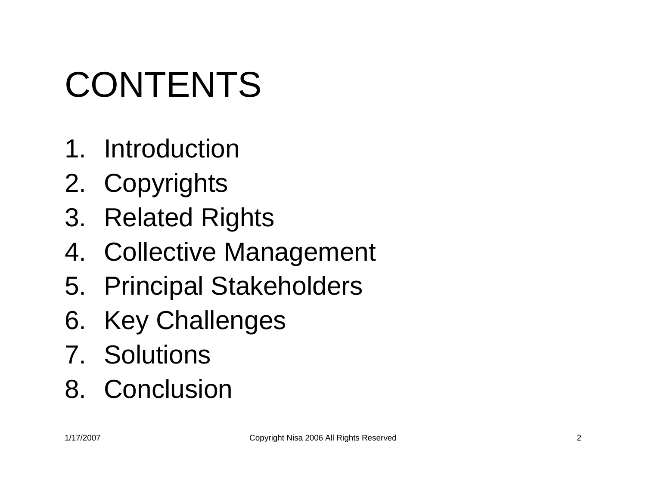# CONTENTS

- 1. Introduction
- 2. Copyrights
- 3. Related Rights
- 4. Collective Management
- 5. Principal Stakeholders
- 6. Key Challenges
- 7. Solutions
- 8. Conclusion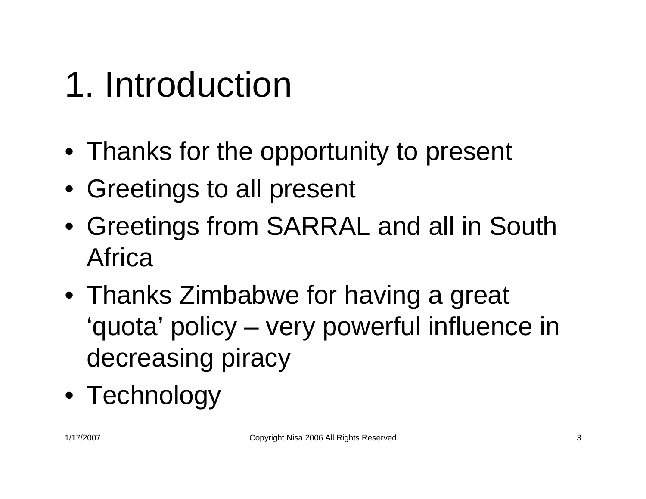#### 1. Introduction

- Thanks for the opportunity to present
- Greetings to all present
- Greetings from SARRAL and all in South Africa
- Thanks Zimbabwe for having a great 'quota' policy – very powerful influence in decreasing piracy
- Technology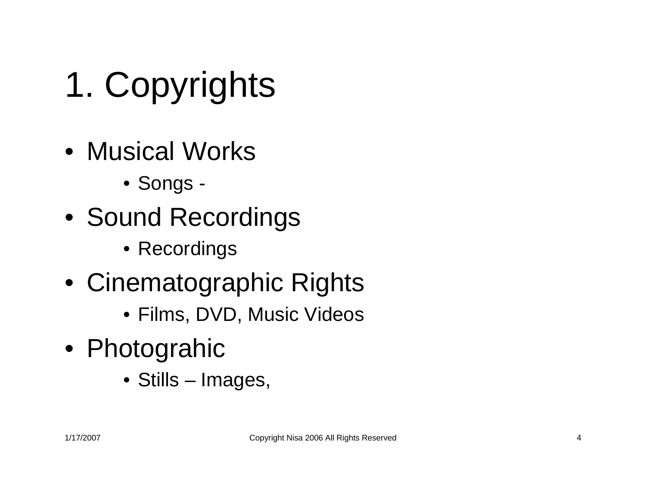- 1. Copyrights
- Musical Works
	- Songs -
- Sound Recordings
	- Recordings
- Cinematographic Rights
	- Films, DVD, Music Videos
- Photograhic
	- Stills Images,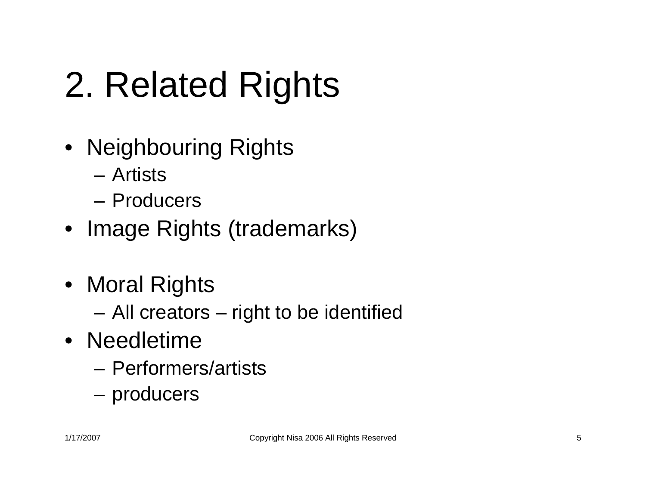## 2. Related Rights

- Neighbouring Rights
	- Artists
	- Producers
- Image Rights (trademarks)
- Moral Rights
	- **Links of the Company** All creators – right to be identified
- Needletime
	- Performers/artists
	- and the state of the producers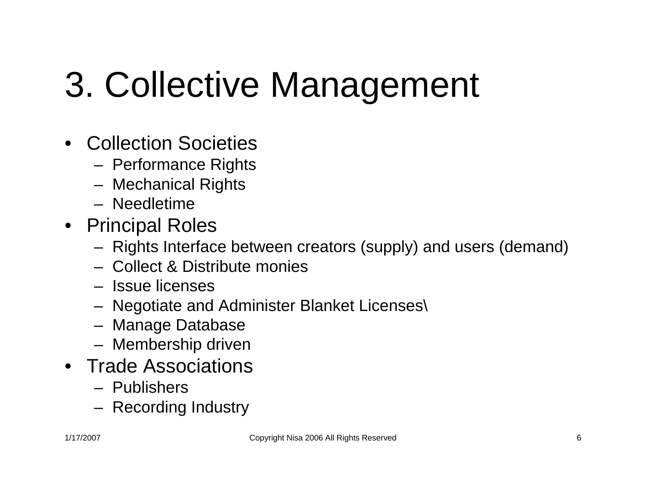#### 3. Collective Management

- Collection Societies
	- Performance Rights
	- Mechanical Rights
	- Needletime
- Principal Roles
	- Rights Interface between creators (supply) and users (demand)
	- Collect & Distribute monies
	- Issue licenses
	- Negotiate and Administer Blanket Licenses\
	- Manage Database
	- Membership driven
- Trade Associations
	- Publishers
	- Recording Industry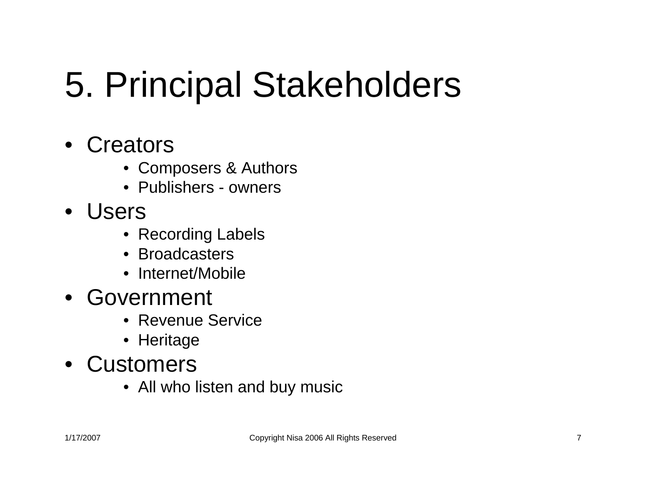#### 5. Principal Stakeholders

- Creators
	- Composers & Authors
	- Publishers owners
- Users
	- Recording Labels
	- Broadcasters
	- Internet/Mobile
- Government
	- Revenue Service
	- Heritage
- Customers
	- All who listen and buy music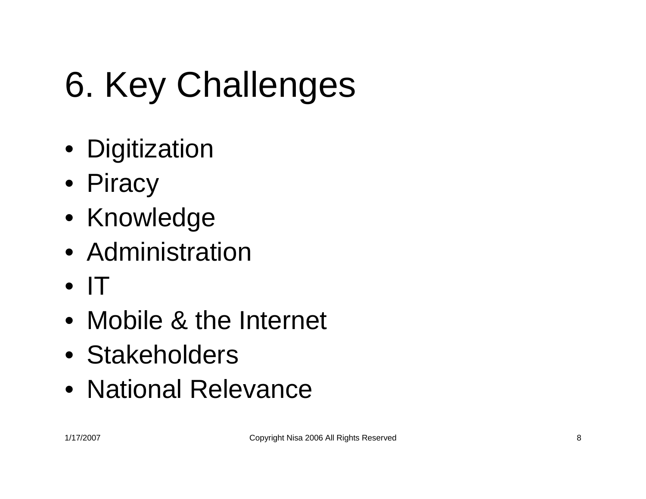# 6. Key Challenges

- Digitization
- Piracy
- Knowledge
- Administration
- IT
- Mobile & the Internet
- Stakeholders
- National Relevance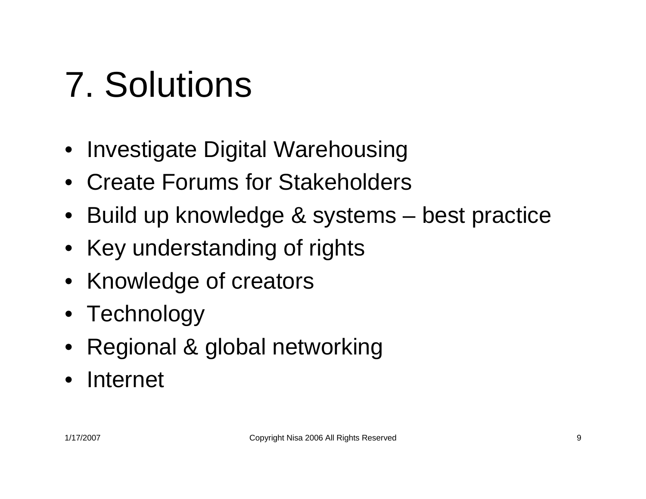### 7. Solutions

- Investigate Digital Warehousing
- Create Forums for Stakeholders
- Build up knowledge & systems best practice
- Key understanding of rights
- Knowledge of creators
- Technology
- Regional & global networking
- Internet